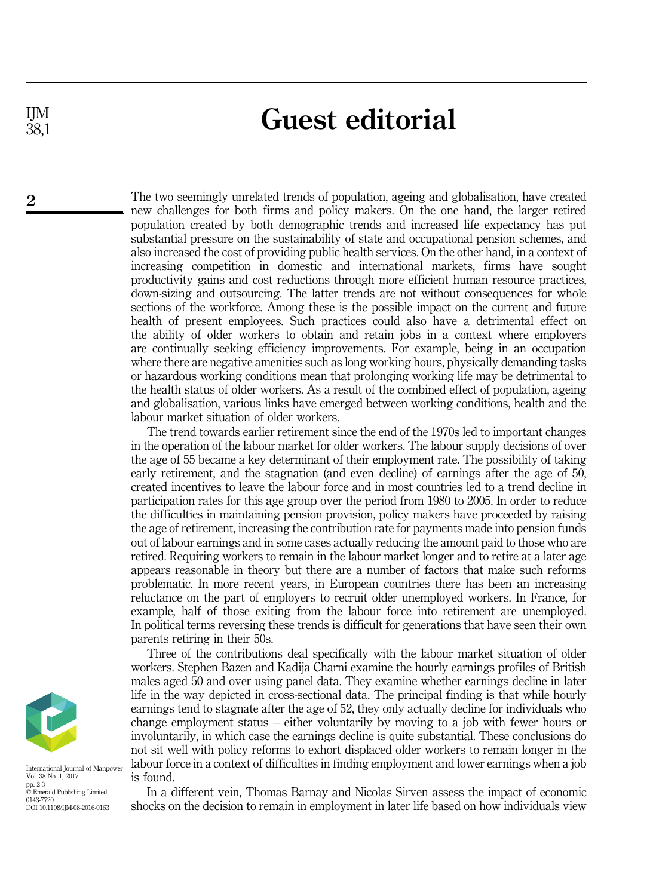## Guest editorial

The two seemingly unrelated trends of population, ageing and globalisation, have created new challenges for both firms and policy makers. On the one hand, the larger retired population created by both demographic trends and increased life expectancy has put substantial pressure on the sustainability of state and occupational pension schemes, and also increased the cost of providing public health services. On the other hand, in a context of increasing competition in domestic and international markets, firms have sought productivity gains and cost reductions through more efficient human resource practices, down-sizing and outsourcing. The latter trends are not without consequences for whole sections of the workforce. Among these is the possible impact on the current and future health of present employees. Such practices could also have a detrimental effect on the ability of older workers to obtain and retain jobs in a context where employers are continually seeking efficiency improvements. For example, being in an occupation where there are negative amenities such as long working hours, physically demanding tasks or hazardous working conditions mean that prolonging working life may be detrimental to the health status of older workers. As a result of the combined effect of population, ageing and globalisation, various links have emerged between working conditions, health and the labour market situation of older workers.

The trend towards earlier retirement since the end of the 1970s led to important changes in the operation of the labour market for older workers. The labour supply decisions of over the age of 55 became a key determinant of their employment rate. The possibility of taking early retirement, and the stagnation (and even decline) of earnings after the age of 50, created incentives to leave the labour force and in most countries led to a trend decline in participation rates for this age group over the period from 1980 to 2005. In order to reduce the difficulties in maintaining pension provision, policy makers have proceeded by raising the age of retirement, increasing the contribution rate for payments made into pension funds out of labour earnings and in some cases actually reducing the amount paid to those who are retired. Requiring workers to remain in the labour market longer and to retire at a later age appears reasonable in theory but there are a number of factors that make such reforms problematic. In more recent years, in European countries there has been an increasing reluctance on the part of employers to recruit older unemployed workers. In France, for example, half of those exiting from the labour force into retirement are unemployed. In political terms reversing these trends is difficult for generations that have seen their own parents retiring in their 50s.

Three of the contributions deal specifically with the labour market situation of older workers. Stephen Bazen and Kadija Charni examine the hourly earnings profiles of British males aged 50 and over using panel data. They examine whether earnings decline in later life in the way depicted in cross-sectional data. The principal finding is that while hourly earnings tend to stagnate after the age of 52, they only actually decline for individuals who change employment status – either voluntarily by moving to a job with fewer hours or involuntarily, in which case the earnings decline is quite substantial. These conclusions do not sit well with policy reforms to exhort displaced older workers to remain longer in the labour force in a context of difficulties in finding employment and lower earnings when a job is found.

In a different vein, Thomas Barnay and Nicolas Sirven assess the impact of economic shocks on the decision to remain in employment in later life based on how individuals view



International Journal of Manpower Vol. 38 No. 1, 2017 pp. 2-3 © Emerald Publishing Limited 0143-7720 0145-7720<br>DOI 10.1108/IIM-08-2016-0163

2